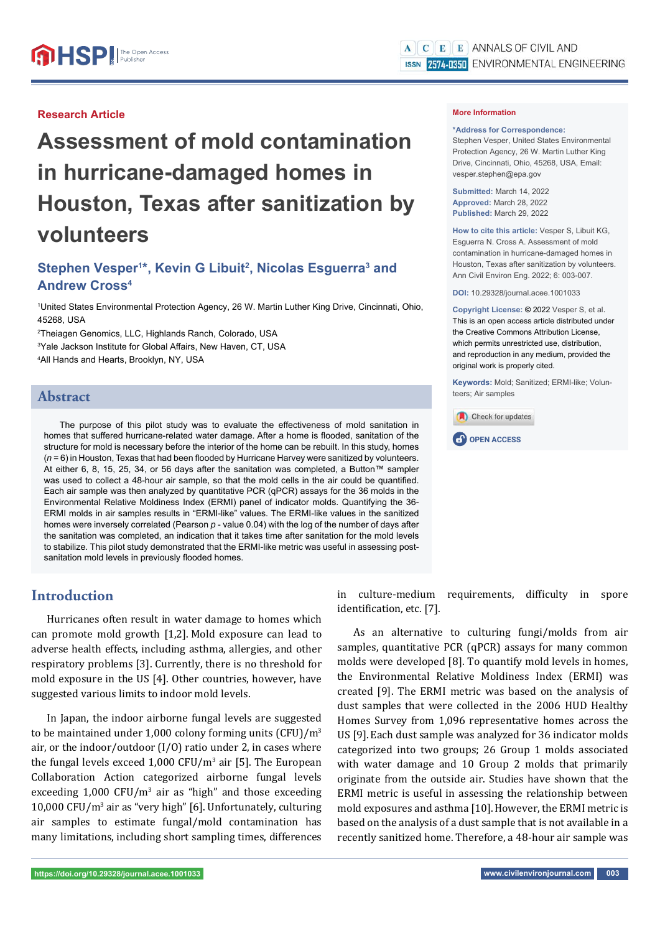### **Research Article**

# **Assessment of mold contamination in hurricane-damaged homes in Houston, Texas after sanitization by volunteers**

# Stephen Vesper<sup>1\*</sup>, Kevin G Libuit<sup>2</sup>, Nicolas Esguerra<sup>3</sup> and **Andrew Cross4**

1 United States Environmental Protection Agency, 26 W. Martin Luther King Drive, Cincinnati, Ohio, 45268, USA

2 Theiagen Genomics, LLC, Highlands Ranch, Colorado, USA <sup>3</sup>Yale Jackson Institute for Global Affairs, New Haven, CT, USA 4 All Hands and Hearts, Brooklyn, NY, USA

## **Abstract**

The purpose of this pilot study was to evaluate the effectiveness of mold sanitation in homes that suffered hurricane-related water damage. After a home is flooded, sanitation of the structure for mold is necessary before the interior of the home can be rebuilt. In this study, homes  $(n=6)$  in Houston, Texas that had been flooded by Hurricane Harvey were sanitized by volunteers. At either 6, 8, 15, 25, 34, or 56 days after the sanitation was completed, a Button™ sampler was used to collect a 48-hour air sample, so that the mold cells in the air could be quantified. Each air sample was then analyzed by quantitative PCR (qPCR) assays for the 36 molds in the Environmental Relative Moldiness Index (ERMI) panel of indicator molds. Quantifying the 36- ERMI molds in air samples results in "ERMI-like" values. The ERMI-like values in the sanitized homes were inversely correlated (Pearson *p* - value 0.04) with the log of the number of days after the sanitation was completed, an indication that it takes time after sanitation for the mold levels to stabilize. This pilot study demonstrated that the ERMI-like metric was useful in assessing postsanitation mold levels in previously flooded homes.

## **Introduction**

Hurricanes often result in water damage to homes which can promote mold growth [1,2]. Mold exposure can lead to adverse health effects, including asthma, allergies, and other respiratory problems [3]. Currently, there is no threshold for mold exposure in the US [4]. Other countries, however, have suggested various limits to indoor mold levels.

In Japan, the indoor airborne fungal levels are suggested to be maintained under 1,000 colony forming units  $(CFU)/m^3$ air, or the indoor/outdoor (I/O) ratio under 2, in cases where the fungal levels exceed  $1,000$  CFU/m<sup>3</sup> air [5]. The European Collaboration Action categorized airborne fungal levels exceeding  $1,000$  CFU/m<sup>3</sup> air as "high" and those exceeding 10,000 CFU/m<sup>3</sup> air as "very high" [6]. Unfortunately, culturing air samples to estimate fungal/mold contamination has many limitations, including short sampling times, differences

**\*Address for Correspondence:** 

Stephen Vesper, United States Environmental Protection Agency, 26 W. Martin Luther King Drive, Cincinnati, Ohio, 45268, USA, Email: vesper.stephen@epa.gov

**Submitted:** March 14, 2022 **Approved:** March 28, 2022 **Published:** March 29, 2022

**How to cite this article: Vesper S, Libuit KG,** Esguerra N. Cross A. Assessment of mold contamination in hurricane-damaged homes in Houston, Texas after sanitization by volunteers. Ann Civil Environ Eng. 2022; 6: 003-007.

**DOI:** 10.29328/journal.acee.1001033

**Copyright License: ©** 2022 Vesper S, et al. This is an open access article distributed under the Creative Commons Attribution License, which permits unrestricted use, distribution, and reproduction in any medium, provided the original work is properly cited.

**Keywords:** Mold; Sanitized; ERMI-like; Volunteers; Air samples





in culture-medium requirements, difficulty in spore identification, etc. [7].

As an alternative to culturing fungi/molds from air samples, quantitative PCR (qPCR) assays for many common molds were developed [8]. To quantify mold levels in homes, the Environmental Relative Moldiness Index (ERMI) was created [9]. The ERMI metric was based on the analysis of dust samples that were collected in the 2006 HUD Healthy Homes Survey from 1,096 representative homes across the US [9].Each dust sample was analyzed for 36 indicator molds categorized into two groups; 26 Group 1 molds associated with water damage and 10 Group 2 molds that primarily originate from the outside air. Studies have shown that the ERMI metric is useful in assessing the relationship between mold exposures and asthma [10].However, the ERMI metric is based on the analysis of a dust sample that is not available in a recently sanitized home. Therefore, a 48-hour air sample was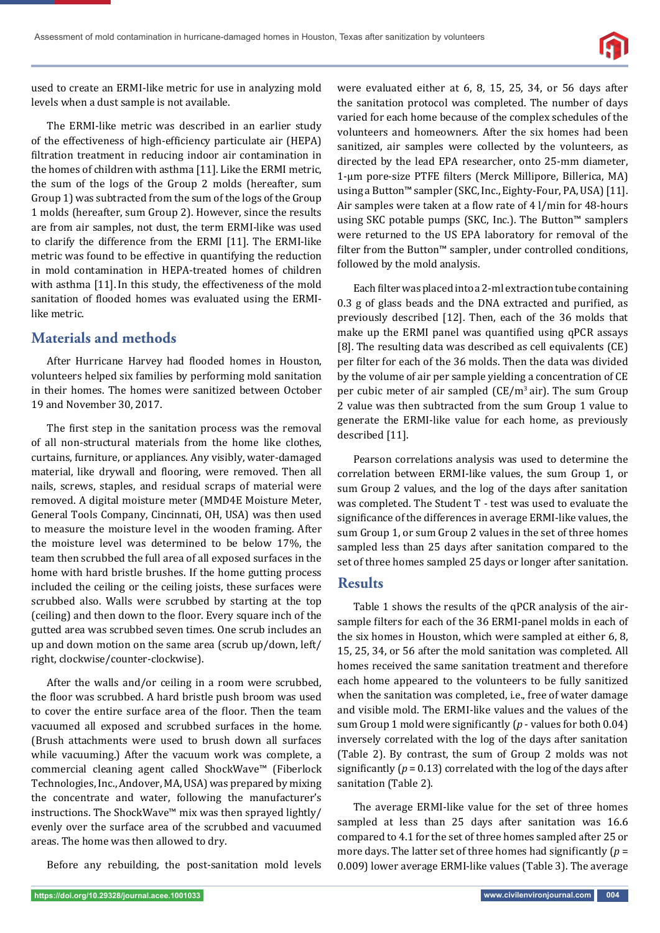used to create an ERMI-like metric for use in analyzing mold levels when a dust sample is not available.

The ERMI-like metric was described in an earlier study of the effectiveness of high-efficiency particulate air (HEPA) filtration treatment in reducing indoor air contamination in the homes of children with asthma [11]. Like the ERMI metric, the sum of the logs of the Group 2 molds (hereafter, sum Group 1) was subtracted from the sum of the logs of the Group 1 molds (hereafter, sum Group 2). However, since the results are from air samples, not dust, the term ERMI-like was used to clarify the difference from the ERMI [11]. The ERMI-like metric was found to be effective in quantifying the reduction in mold contamination in HEPA-treated homes of children with asthma [11]. In this study, the effectiveness of the mold sanitation of flooded homes was evaluated using the ERMIlike metric.

## **Materials and methods**

After Hurricane Harvey had flooded homes in Houston, volunteers helped six families by performing mold sanitation in their homes. The homes were sanitized between October 19 and November 30, 2017.

The first step in the sanitation process was the removal of all non-structural materials from the home like clothes, curtains, furniture, or appliances. Any visibly, water-damaged material, like drywall and flooring, were removed. Then all nails, screws, staples, and residual scraps of material were removed. A digital moisture meter (MMD4E Moisture Meter, General Tools Company, Cincinnati, OH, USA) was then used to measure the moisture level in the wooden framing. After the moisture level was determined to be below 17%, the team then scrubbed the full area of all exposed surfaces in the home with hard bristle brushes. If the home gutting process included the ceiling or the ceiling joists, these surfaces were scrubbed also. Walls were scrubbed by starting at the top (ceiling) and then down to the floor. Every square inch of the gutted area was scrubbed seven times. One scrub includes an up and down motion on the same area (scrub up/down, left/ right, clockwise/counter-clockwise).

After the walls and/or ceiling in a room were scrubbed, the floor was scrubbed. A hard bristle push broom was used to cover the entire surface area of the floor. Then the team vacuumed all exposed and scrubbed surfaces in the home. (Brush attachments were used to brush down all surfaces while vacuuming.) After the vacuum work was complete, a commercial cleaning agent called ShockWave™ (Fiberlock Technologies, Inc., Andover, MA, USA) was prepared by mixing the concentrate and water, following the manufacturer's instructions. The ShockWave™ mix was then sprayed lightly/ evenly over the surface area of the scrubbed and vacuumed areas. The home was then allowed to dry.

Before any rebuilding, the post-sanitation mold levels

were evaluated either at 6, 8, 15, 25, 34, or 56 days after the sanitation protocol was completed. The number of days varied for each home because of the complex schedules of the volunteers and homeowners. After the six homes had been sanitized, air samples were collected by the volunteers, as directed by the lead EPA researcher, onto 25-mm diameter, 1-μm pore-size PTFE ϐilters (Merck Millipore, Billerica, MA) using a Button™ sampler (SKC, Inc., Eighty-Four, PA, USA) [11]. Air samples were taken at a flow rate of 4 l/min for 48-hours using SKC potable pumps (SKC, Inc.). The Button™ samplers were returned to the US EPA laboratory for removal of the filter from the Button™ sampler, under controlled conditions, followed by the mold analysis.

Each filter was placed into a 2-ml extraction tube containing 0.3 g of glass beads and the DNA extracted and purified, as previously described [12]. Then, each of the 36 molds that make up the ERMI panel was quantified using qPCR assays [8]. The resulting data was described as cell equivalents (CE) per filter for each of the 36 molds. Then the data was divided by the volume of air per sample yielding a concentration of CE per cubic meter of air sampled  $(CE/m^3)$  air). The sum Group 2 value was then subtracted from the sum Group 1 value to generate the ERMI-like value for each home, as previously described [11].

Pearson correlations analysis was used to determine the correlation between ERMI-like values, the sum Group 1, or sum Group 2 values, and the log of the days after sanitation was completed. The Student T - test was used to evaluate the significance of the differences in average ERMI-like values, the sum Group 1, or sum Group 2 values in the set of three homes sampled less than 25 days after sanitation compared to the set of three homes sampled 25 days or longer after sanitation.

## **Results**

Table 1 shows the results of the qPCR analysis of the airsample filters for each of the 36 ERMI-panel molds in each of the six homes in Houston, which were sampled at either 6, 8, 15, 25, 34, or 56 after the mold sanitation was completed. All homes received the same sanitation treatment and therefore each home appeared to the volunteers to be fully sanitized when the sanitation was completed, i.e., free of water damage and visible mold. The ERMI-like values and the values of the sum Group 1 mold were significantly  $(p -$  values for both 0.04) inversely correlated with the log of the days after sanitation (Table 2). By contrast, the sum of Group 2 molds was not significantly ( $p = 0.13$ ) correlated with the log of the days after sanitation (Table 2).

The average ERMI-like value for the set of three homes sampled at less than 25 days after sanitation was 16.6 compared to 4.1 for the set of three homes sampled after 25 or more days. The latter set of three homes had significantly  $(p =$ 0.009) lower average ERMI-like values (Table 3). The average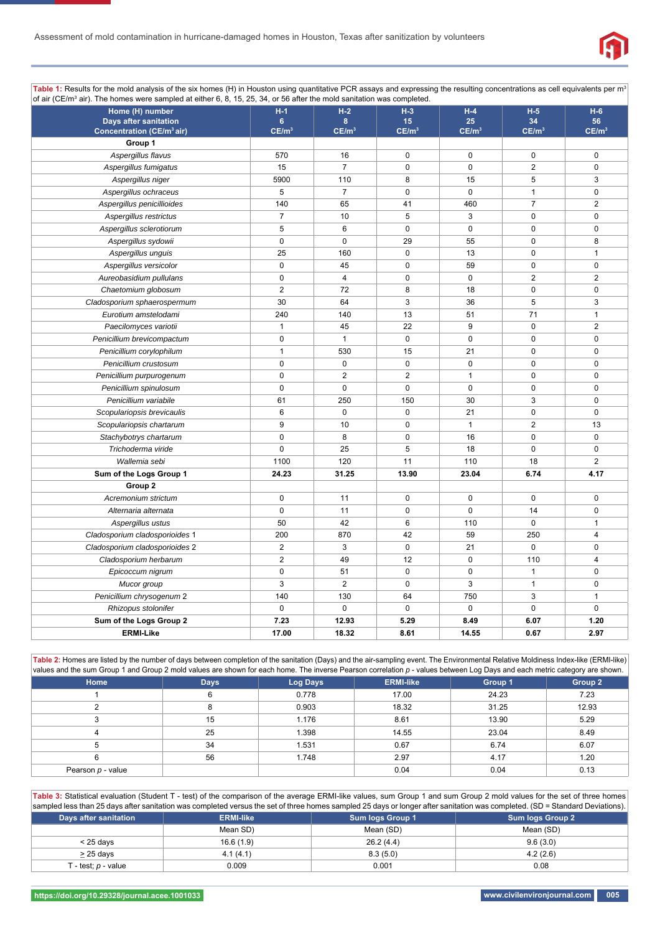

Table 1: Results for the mold analysis of the six homes (H) in Houston using quantitative PCR assays and expressing the resulting concentrations as cell equivalents per m<sup>3</sup> of air  $(CE/m^3$  air) The h  $\mu$  at either 6, 8, 15, 25, 34, or 56 after the mold sanitation

| $\sigma$ an (OL/III) and it increases were sampled at entired 0, 0, 10, 20, 04, 01 00 and the mold samilation was completed.<br>Home (H) number | $H-1$             | $H-2$             | $H-3$             | $H-4$             | $H-5$             | $H-6$             |
|-------------------------------------------------------------------------------------------------------------------------------------------------|-------------------|-------------------|-------------------|-------------------|-------------------|-------------------|
| <b>Days after sanitation</b>                                                                                                                    | 6                 | 8                 | 15                | 25                | 34                | 56                |
| <b>Concentration (CE/m<sup>3</sup> air)</b>                                                                                                     | CE/m <sup>3</sup> | CE/m <sup>3</sup> | CE/m <sup>3</sup> | CE/m <sup>3</sup> | CE/m <sup>3</sup> | CE/m <sup>3</sup> |
| Group 1                                                                                                                                         |                   |                   |                   |                   |                   |                   |
| Aspergillus flavus                                                                                                                              | 570               | 16                | $\pmb{0}$         | $\pmb{0}$         | $\pmb{0}$         | $\pmb{0}$         |
| Aspergillus fumigatus                                                                                                                           | 15                | $\overline{7}$    | $\mathbf 0$       | $\mathbf 0$       | $\overline{2}$    | 0                 |
| Aspergillus niger                                                                                                                               | 5900              | 110               | 8                 | 15                | 5                 | 3                 |
| Aspergillus ochraceus                                                                                                                           | 5                 | $\overline{7}$    | 0                 | $\pmb{0}$         | $\mathbf{1}$      | $\pmb{0}$         |
| Aspergillus penicillioides                                                                                                                      | 140               | 65                | 41                | 460               | $\overline{7}$    | $\boldsymbol{2}$  |
| Aspergillus restrictus                                                                                                                          | $\overline{7}$    | 10                | 5                 | 3                 | $\mathbf 0$       | $\pmb{0}$         |
| Aspergillus sclerotiorum                                                                                                                        | 5                 | 6                 | $\mathbf 0$       | $\mathbf 0$       | $\mathbf 0$       | $\mathbf 0$       |
| Aspergillus sydowii                                                                                                                             | $\mathbf 0$       | 0                 | 29                | 55                | 0                 | 8                 |
| Aspergillus unguis                                                                                                                              | 25                | 160               | 0                 | 13                | $\mathbf 0$       | $\mathbf{1}$      |
| Aspergillus versicolor                                                                                                                          | $\mathbf 0$       | 45                | 0                 | 59                | 0                 | $\pmb{0}$         |
| Aureobasidium pullulans                                                                                                                         | $\pmb{0}$         | $\overline{4}$    | $\pmb{0}$         | $\pmb{0}$         | $\overline{2}$    | $\overline{2}$    |
| Chaetomium globosum                                                                                                                             | $\overline{2}$    | 72                | 8                 | 18                | $\mathbf 0$       | $\mathbf 0$       |
| Cladosporium sphaerospermum                                                                                                                     | 30                | 64                | 3                 | 36                | 5                 | 3                 |
| Eurotium amstelodami                                                                                                                            | 240               | 140               | 13                | 51                | 71                | $\mathbf{1}$      |
| Paecilomyces variotii                                                                                                                           | $\mathbf{1}$      | 45                | 22                | 9                 | $\mathbf 0$       | $\overline{2}$    |
| Penicillium brevicompactum                                                                                                                      | $\mathbf 0$       | $\mathbf{1}$      | $\mathbf 0$       | $\mathbf 0$       | $\mathbf 0$       | $\mathbf 0$       |
| Penicillium corylophilum                                                                                                                        | $\mathbf{1}$      | 530               | 15                | 21                | $\pmb{0}$         | $\pmb{0}$         |
| Penicillium crustosum                                                                                                                           | 0                 | 0                 | 0                 | $\mathbf 0$       | $\mathbf 0$       | 0                 |
| Penicillium purpurogenum                                                                                                                        | $\mathbf 0$       | $\overline{2}$    | $\mathbf{2}$      | $\mathbf{1}$      | $\mathbf 0$       | 0                 |
| Penicillium spinulosum                                                                                                                          | $\Omega$          | $\mathbf 0$       | $\mathbf 0$       | $\mathbf 0$       | $\mathbf 0$       | $\mathbf 0$       |
| Penicillium variabile                                                                                                                           | 61                | 250               | 150               | 30                | 3                 | 0                 |
| Scopulariopsis brevicaulis                                                                                                                      | 6                 | $\mathbf 0$       | 0                 | 21                | $\mathbf 0$       | 0                 |
| Scopulariopsis chartarum                                                                                                                        | 9                 | 10                | 0                 | $\mathbf{1}$      | $\overline{2}$    | 13                |
| Stachybotrys chartarum                                                                                                                          | $\mathbf 0$       | 8                 | 0                 | 16                | $\mathbf 0$       | $\pmb{0}$         |
| Trichoderma viride                                                                                                                              | $\mathbf 0$       | 25                | 5                 | 18                | $\mathbf 0$       | $\mathbf 0$       |
| Wallemia sebi                                                                                                                                   | 1100              | 120               | 11                | 110               | 18                | $\overline{2}$    |
| Sum of the Logs Group 1                                                                                                                         | 24.23             | 31.25             | 13.90             | 23.04             | 6.74              | 4.17              |
| Group 2                                                                                                                                         |                   |                   |                   |                   |                   |                   |
| Acremonium strictum                                                                                                                             | $\mathbf 0$       | 11                | $\pmb{0}$         | $\pmb{0}$         | $\mathbf 0$       | $\pmb{0}$         |
| Alternaria alternata                                                                                                                            | $\pmb{0}$         | 11                | $\pmb{0}$         | $\pmb{0}$         | 14                | $\pmb{0}$         |
| Aspergillus ustus                                                                                                                               | 50                | 42                | 6                 | 110               | $\mathbf 0$       | $\mathbf{1}$      |
| Cladosporium cladosporioides 1                                                                                                                  | 200               | 870               | 42                | 59                | 250               | $\overline{4}$    |
| Cladosporium cladosporioides 2                                                                                                                  | $\sqrt{2}$        | 3                 | 0                 | 21                | 0                 | $\pmb{0}$         |
| Cladosporium herbarum                                                                                                                           | $\overline{2}$    | 49                | 12                | $\mathbf 0$       | 110               | 4                 |
| Epicoccum nigrum                                                                                                                                | $\mathbf 0$       | 51                | 0                 | $\mathbf 0$       | $\mathbf{1}$      | $\mathbf 0$       |
| Mucor group                                                                                                                                     | 3                 | $\overline{2}$    | $\mathbf 0$       | 3                 | $\mathbf{1}$      | $\mathbf 0$       |
| Penicillium chrysogenum 2                                                                                                                       | 140               | 130               | 64                | 750               | 3                 | $\mathbf{1}$      |
| Rhizopus stolonifer                                                                                                                             | $\pmb{0}$         | 0                 | 0                 | 0                 | $\mathbf 0$       | $\mathbf 0$       |
| Sum of the Logs Group 2                                                                                                                         | 7.23              | 12.93             | 5.29              | 8.49              | 6.07              | 1.20              |
| <b>ERMI-Like</b>                                                                                                                                | 17.00             | 18.32             | 8.61              | 14.55             | 0.67              | 2.97              |

**Table 2:** Homes are listed by the number of days between completion of the sanitation (Days) and the air-sampling event. The Environmental Relative Moldiness Index-like (ERMI-like) values and the sum Group 1 and Group 2 mold values are shown for each home. The inverse Pearson correlation *p* - values between Log Days and each metric category are shown. **Home Days Log Days ERMI-like Group 1 Group 2** 1 6 0.778 17.00 24.23 7.23 2 8 0.903 18.32 31.25 12.93 3 15 1.176 8.61 13.90 5.29 4 25 1.398 14.55 23.04 8.49 5 34 1.531 0.67 6.74 6.07 6 6 56 1.748 2.97 2.97 4.17 1.20 Pearson *p* - value 0.04 0.13

Table 3: Statistical evaluation (Student T - test) of the comparison of the average ERMI-like values, sum Group 1 and sum Group 2 mold values for the set of three homes sampled less than 25 days after sanitation was completed versus the set of three homes sampled 25 days or longer after sanitation was completed. (SD = Standard Deviations) **Days after sanitation COVID ERMI-like Sum logs Group 1 Sum logs Group 2** Sum logs Group 2 Mean SD) Mean (SD) Mean (SD)  $<$  25 days  $\hskip 1.6 cm 9.6 \, (3.0)$   $<$  26.2 (4.4)  $\hskip 1.6 cm 9.6 \, (3.0)$  $\geq$  25 days  $4.1 \ (4.1)$   $4.1 \ (4.1)$   $8.3 \ (5.0)$   $4.2 \ (2.6)$ T - test; *p* - value 0.009 0.009 0.001 0.08 0.08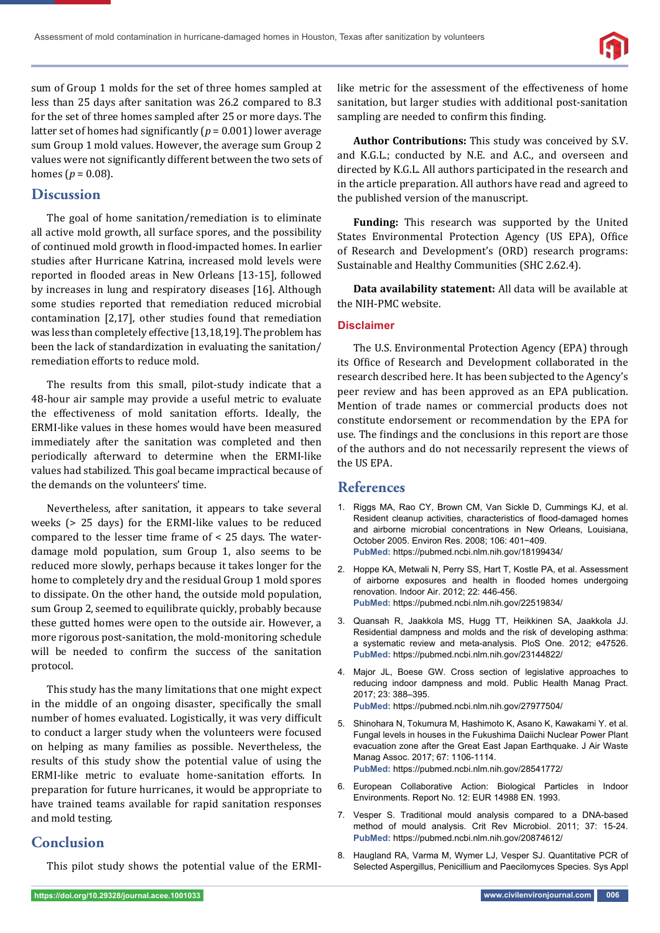

sum of Group 1 molds for the set of three homes sampled at less than 25 days after sanitation was 26.2 compared to 8.3 for the set of three homes sampled after 25 or more days. The latter set of homes had significantly ( $p = 0.001$ ) lower average sum Group 1 mold values. However, the average sum Group 2 values were not significantly different between the two sets of homes ( $p = 0.08$ ).

## **Discussion**

The goal of home sanitation/remediation is to eliminate all active mold growth, all surface spores, and the possibility of continued mold growth in flood-impacted homes. In earlier studies after Hurricane Katrina, increased mold levels were reported in flooded areas in New Orleans [13-15], followed by increases in lung and respiratory diseases [16]. Although some studies reported that remediation reduced microbial contamination [2,17], other studies found that remediation was less than completely effective [13,18,19]. The problem has been the lack of standardization in evaluating the sanitation/ remediation efforts to reduce mold.

The results from this small, pilot-study indicate that a 48-hour air sample may provide a useful metric to evaluate the effectiveness of mold sanitation efforts. Ideally, the ERMI-like values in these homes would have been measured immediately after the sanitation was completed and then periodically afterward to determine when the ERMI-like values had stabilized. This goal became impractical because of the demands on the volunteers' time.

Nevertheless, after sanitation, it appears to take several weeks (> 25 days) for the ERMI-like values to be reduced compared to the lesser time frame of < 25 days. The waterdamage mold population, sum Group 1, also seems to be reduced more slowly, perhaps because it takes longer for the home to completely dry and the residual Group 1 mold spores to dissipate. On the other hand, the outside mold population, sum Group 2, seemed to equilibrate quickly, probably because these gutted homes were open to the outside air. However, a more rigorous post-sanitation, the mold-monitoring schedule will be needed to confirm the success of the sanitation protocol.

This study has the many limitations that one might expect in the middle of an ongoing disaster, specifically the small number of homes evaluated. Logistically, it was very difficult to conduct a larger study when the volunteers were focused on helping as many families as possible. Nevertheless, the results of this study show the potential value of using the ERMI-like metric to evaluate home-sanitation efforts. In preparation for future hurricanes, it would be appropriate to have trained teams available for rapid sanitation responses and mold testing.

## **Conclusion**

This pilot study shows the potential value of the ERMI-

like metric for the assessment of the effectiveness of home sanitation, but larger studies with additional post-sanitation sampling are needed to confirm this finding.

**Author Contributions:** This study was conceived by S.V. and K.G.L.; conducted by N.E. and A.C., and overseen and directed by K.G.L. All authors participated in the research and in the article preparation. All authors have read and agreed to the published version of the manuscript.

**Funding:** This research was supported by the United States Environmental Protection Agency (US EPA), Office of Research and Development's (ORD) research programs: Sustainable and Healthy Communities (SHC 2.62.4).

**Data availability statement:** All data will be available at the NIH-PMC website.

#### **Disclaimer**

The U.S. Environmental Protection Agency (EPA) through its Office of Research and Development collaborated in the research described here. It has been subjected to the Agency's peer review and has been approved as an EPA publication. Mention of trade names or commercial products does not constitute endorsement or recommendation by the EPA for use. The findings and the conclusions in this report are those of the authors and do not necessarily represent the views of the US EPA.

#### **References**

- 1. Riggs MA, Rao CY, Brown CM, Van Sickle D, Cummings KJ, et al. Resident cleanup activities, characteristics of flood-damaged homes and airborne microbial concentrations in New Orleans, Louisiana, October 2005. Environ Res. 2008; 106: 401−409. **PubMed:** https://pubmed.ncbi.nlm.nih.gov/18199434/
- 2. Hoppe KA, Metwali N, Perry SS, Hart T, Kostle PA, et al. Assessment of airborne exposures and health in flooded homes undergoing renovation. Indoor Air. 2012; 22: 446-456. **PubMed:** https://pubmed.ncbi.nlm.nih.gov/22519834/
- 3. Quansah R, Jaakkola MS, Hugg TT, Heikkinen SA, Jaakkola JJ. Residential dampness and molds and the risk of developing asthma: a systematic review and meta-analysis. PloS One. 2012; e47526. **PubMed:** https://pubmed.ncbi.nlm.nih.gov/23144822/
- 4. Major JL, Boese GW. Cross section of legislative approaches to reducing indoor dampness and mold. Public Health Manag Pract. 2017; 23: 388–395. **PubMed:** https://pubmed.ncbi.nlm.nih.gov/27977504/
- 5. Shinohara N, Tokumura M, Hashimoto K, Asano K, Kawakami Y. et al. Fungal levels in houses in the Fukushima Daiichi Nuclear Power Plant evacuation zone after the Great East Japan Earthquake. J Air Waste Manag Assoc. 2017; 67: 1106-1114. **PubMed:** https://pubmed.ncbi.nlm.nih.gov/28541772/
- 6. European Collaborative Action: Biological Particles in Indoor Environments. Report No. 12: EUR 14988 EN. 1993.
- 7. Vesper S. Traditional mould analysis compared to a DNA-based method of mould analysis. Crit Rev Microbiol. 2011; 37: 15-24. **PubMed:** https://pubmed.ncbi.nlm.nih.gov/20874612/
- 8. Haugland RA, Varma M, Wymer LJ, Vesper SJ. Quantitative PCR of Selected Aspergillus, Penicillium and Paecilomyces Species. Sys Appl